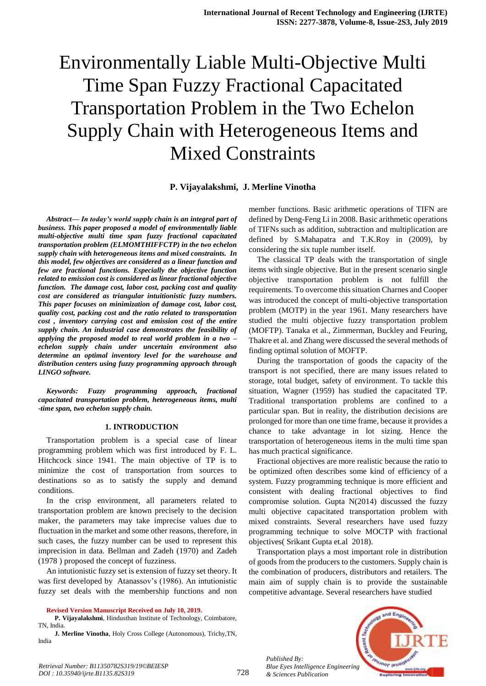# Environmentally Liable Multi-Objective Multi Time Span Fuzzy Fractional Capacitated Transportation Problem in the Two Echelon Supply Chain with Heterogeneous Items and Mixed Constraints

# **P. Vijayalakshmi, J. Merline Vinotha**

*Abstract***—** *In today's world supply chain is an integral part of business. This paper proposed a model of environmentally liable multi-objective multi time span fuzzy fractional capacitated transportation problem (ELMOMTHIFFCTP) in the two echelon supply chain with heterogeneous items and mixed constraints. In this model, few objectives are considered as a linear function and few are fractional functions. Especially the objective function related to emission cost is considered as linear fractional objective function. The damage cost, labor cost, packing cost and quality cost are considered as triangular intuitionistic fuzzy numbers. This paper focuses on minimization of damage cost, labor cost, quality cost, packing cost and the ratio related to transportation cost , inventory carrying cost and emission cost of the entire supply chain. An industrial case demonstrates the feasibility of applying the proposed model to real world problem in a two – echelon supply chain under uncertain environment also determine an optimal inventory level for the warehouse and distribution centers using fuzzy programming approach through LINGO software.*

*Keywords: Fuzzy programming approach, fractional capacitated transportation problem, heterogeneous items, multi -time span, two echelon supply chain.*

#### **1. INTRODUCTION**

Transportation problem is a special case of linear programming problem which was first introduced by F. L. Hitchcock since 1941. The main objective of TP is to minimize the cost of transportation from sources to destinations so as to satisfy the supply and demand conditions.

In the crisp environment, all parameters related to transportation problem are known precisely to the decision maker, the parameters may take imprecise values due to fluctuation in the market and some other reasons, therefore, in such cases, the fuzzy number can be used to represent this imprecision in data. Bellman and Zadeh (1970) and Zadeh (1978 ) proposed the concept of fuzziness.

An intutionistic fuzzy set is extension of fuzzy set theory. It was first developed by Atanassov's (1986). An intutionistic fuzzy set deals with the membership functions and non

**Revised Version Manuscript Received on July 10, 2019.**

**P. Vijayalakshmi**, Hindusthan Institute of Technology, Coimbatore, TN, India.

**J. Merline Vinotha**, Holy Cross College (Autonomous), Trichy,TN, India

member functions. Basic arithmetic operations of TIFN are defined by Deng-Feng Li in 2008. Basic arithmetic operations of TIFNs such as addition, subtraction and multiplication are defined by S.Mahapatra and T.K.Roy in (2009), by considering the six tuple number itself.

The classical TP deals with the transportation of single items with single objective. But in the present scenario single objective transportation problem is not fulfill the requirements. To overcome this situation Charnes and Cooper was introduced the concept of multi-objective transportation problem (MOTP) in the year 1961. Many researchers have studied the multi objective fuzzy transportation problem (MOFTP). Tanaka et al., Zimmerman, Buckley and Feuring, Thakre et al. and Zhang were discussed the several methods of finding optimal solution of MOFTP.

During the transportation of goods the capacity of the transport is not specified, there are many issues related to storage, total budget, safety of environment. To tackle this situation, Wagner (1959) has studied the capacitated TP. Traditional transportation problems are confined to a particular span. But in reality, the distribution decisions are prolonged for more than one time frame, because it provides a chance to take advantage in lot sizing. Hence the transportation of heterogeneous items in the multi time span has much practical significance.

Fractional objectives are more realistic because the ratio to be optimized often describes some kind of efficiency of a system. Fuzzy programming technique is more efficient and consistent with dealing fractional objectives to find compromise solution. Gupta N(2014) discussed the fuzzy multi objective capacitated transportation problem with mixed constraints. Several researchers have used fuzzy programming technique to solve MOCTP with fractional objectives( Srikant Gupta et.al 2018).

Transportation plays a most important role in distribution of goods from the producers to the customers. Supply chain is the combination of producers, distributors and retailers. The main aim of supply chain is to provide the sustainable competitive advantage. Several researchers have studied



*Retrieval Number: B11350782S319/19©BEIESP DOI : 10.35940/ijrte.B1135.82S319*

*Published By:*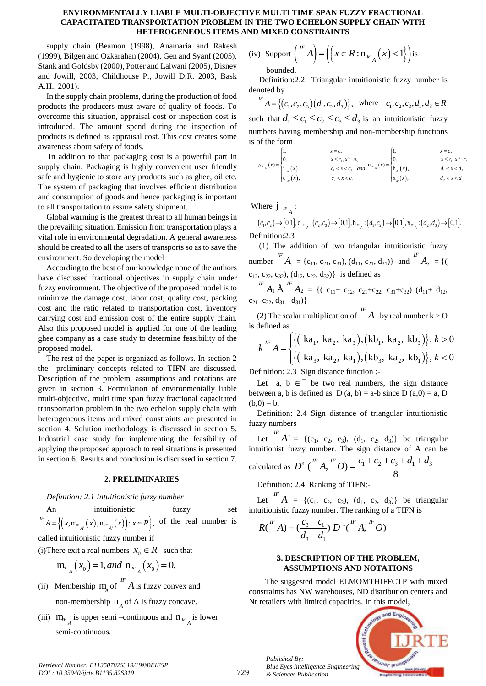supply chain (Beamon (1998), Anamaria and Rakesh (1999), Bilgen and Ozkarahan (2004), Gen and Syanf (2005), Stank and Goldsby (2000), Potter and Lalwani (2005), Disney and Jowill, 2003, Childhouse P., Jowill D.R. 2003, Bask A.H., 2001).

In the supply chain problems, during the production of food products the producers must aware of quality of foods. To overcome this situation, appraisal cost or inspection cost is introduced. The amount spend during the inspection of products is defined as appraisal cost. This cost creates some awareness about safety of foods.

In addition to that packaging cost is a powerful part in supply chain. Packaging is highly convenient user friendly safe and hygienic to store any products such as ghee, oil etc. The system of packaging that involves efficient distribution and consumption of goods and hence packaging is important to all transportation to assure safety shipment.

Global warming is the greatest threat to all human beings in the prevailing situation. Emission from transportation plays a vital role in environmental degradation. A general awareness should be created to all the users of transports so as to save the environment. So developing the model

According to the best of our knowledge none of the authors have discussed fractional objectives in supply chain under fuzzy environment. The objective of the proposed model is to minimize the damage cost, labor cost, quality cost, packing cost and the ratio related to transportation cost, inventory carrying cost and emission cost of the entire supply chain. Also this proposed model is applied for one of the leading ghee company as a case study to determine feasibility of the proposed model.

The rest of the paper is organized as follows. In section 2 the preliminary concepts related to TIFN are discussed. Description of the problem, assumptions and notations are given in section 3. Formulation of environmentally liable multi-objective, multi time span fuzzy fractional capacitated transportation problem in the two echelon supply chain with heterogeneous items and mixed constraints are presented in section 4. Solution methodology is discussed in section 5. Industrial case study for implementing the feasibility of applying the proposed approach to real situations is presented in section 6. Results and conclusion is discussed in section 7.

# **2. PRELIMINARIES**

*Definition: 2.1 Intuitionistic fuzzy number*

An intuitionistic fuzzy set An intuitionsite<br>  ${}^{IF}A = \left\{ (x, m_{F_{A'}}(x), n_{F_{A'}}(x)) : x \in R \right\},\$ An munionsity<br> $A = \left\{ (x, m_{F_{A'}}(x), n_{F_{A'}}(x)) : x \in R \right\},\$ of the real number is

called intuitionistic fuzzy number if

(i) There exit a real numbers  $x_0 \in R$  such that

$$
m_{F_A}(x_0) = 1, and n_{F_A}(x_0) = 0,
$$

- (ii) Membership  $m_A$  of  $\int_{A}^{B} A$  is fuzzy convex and non-membership  $n_A$  of A is fuzzy concave.
- (iii)  $m_F$  is upper semi –continuous and  $n_F$  is lower semi-continuous.

(iv) Support 
$$
\binom{F}{F}
$$
 =  $\overline{\left(\left\{x \in R : n_{F_A}(x) < 1\right\}\right)}$  is bounded.

Definition:2.2 Triangular intuitionistic fuzzy number is denoted by

$$
F = \{(c_1, c_2, c_3) (d_1, c_2, d_3)\}, \text{ where } c_1, c_2, c_3, d_1, d_3 \in R
$$

such that  $d_1 \leq c_1 \leq c_2 \leq c_3 \leq d_3$  is an intuitionistic fuzzy is of the form

numbers having membership and non-membreship functions  
\nis of the form\n
$$
\mu_{w_A}(x) =\begin{cases}\n1, & x = c_2 \\
0, & x \le c_1, x^3 \ a_3 \\
\vdots & c_1 < x < c_2 \ \text{and} \ \end{cases} \quad \mu_{w_A}(x) =\begin{cases}\n1, & x = c_2 \\
0, & x \le c_1, x^3 \ c_3 \\
h_x(x), & d_1 < x < d_2 \\
x_x(x), & d_2 < x < d_3\n\end{cases}
$$

Where  $\int_{F_A}$ :

There  $\dot{\mathbf{j}}_{F_A}$ :<br>  $(c_1, c_2) \rightarrow [0,1], \mathbf{c}_{F_A}$ : $(c_2, c_3) \rightarrow [0,1], \mathbf{h}_{F_A}$ : $(d_1, c_2) \rightarrow [0,1], \mathbf{x}_{F_A}$ : $(d_2, d_3) \rightarrow [0,1].$ Definition:2.3

(1) The addition of two triangular intuitionistic fuzzy number  $A_1$  ${}^{IF}A_1 = \{c_{11}, c_{21}, c_{31}\}, \{d_{11}, c_{21}, d_{31}\}$  and  ${}^{IF}A_2$  $^{IF}A_{2} = \{$  (  $c_{12}$ ,  $c_{22}$ ,  $c_{32}$ ),  $(d_{12}$ ,  $c_{22}$ ,  $d_{32})$ } is defined as

 $A \, A_2$ *IF*  $A_1 \hat{A}$  *IF*  $A_2 = \{ (c_{11} + c_{12}, c_{21} + c_{22}, c_{31} + c_{32}) \} (d_{11} + d_{12},$  $c_{21}+c_{22}$ ,  $d_{31}+d_{21}$ }

(2) The scalar multiplication of <sup>IF</sup> *A* by real number k > O<br>defined as<br> $\iota_k$ <sup>IF</sup>  $\Lambda = \iint \{ (\kappa a_1, \kappa a_2, \kappa a_3), (\kappa b_1, \kappa a_2, \kappa b_3) \}, k > 0$ 

is defined as  
\n
$$
k^{\text{IF}} A = \begin{cases} \{ (\text{ka}_1, \text{ka}_2, \text{ka}_3), (\text{kb}_1, \text{ka}_2, \text{ kb}_3) \}, k > 0 \\ \{ (\text{ka}_3, \text{ka}_2, \text{ka}_1), (\text{kb}_3, \text{ka}_2, \text{ kb}_1) \}, k < 0 \end{cases}
$$

Definition: 2.3 Sign distance function :-

Let a,  $b \in \Box$  be two real numbers, the sign distance between a, b is defined as  $D(a, b) = a-b$  since  $D(a, 0) = a$ , D  $(b,0) = b.$ 

Definition: 2.4 Sign distance of triangular intuitionistic fuzzy numbers

Let  $A'$  $I^F A' = \{(c_1, c_2, c_3), (d_1, c_2, d_3)\}\$  be triangular intuitionist fuzzy number. The sign distance of A can be calculated as  $D^s \binom{F}{A}$ ,  $\binom{F}{O} = \frac{c_1 + c_2 + c_3 + d_1 + d_3}{8}$  $IF \tcdot I^F$ zzy number. The sign distance of A can 1<br> $D^s \binom{F}{A}$ ,  $D^f = \frac{C_1 + C_2 + C_3 + d_1 + d_3}{8}$ 

Definition: 2.4 Ranking of TIFN:-

Let  $\begin{bmatrix} I^F & A \end{bmatrix} = \{ (c_1, c_2, c_3), (d_1, c_2, d_3) \}$  be triangular

intuitionistic fuzzy number. The ranking of a TIFN is  
\n
$$
R\binom{F}{A} = \left(\frac{c_3 - c_1}{d_3 - d_1}\right) D^{s} \binom{F}{d} A, \binom{F}{d}
$$

# **3. DESCRIPTION OF THE PROBLEM, ASSUMPTIONS AND NOTATIONS**

The suggested model ELMOMTHIFFCTP with mixed constraints has NW warehouses, ND distribution centers and Nr retailers with limited capacities. In this model,



*Published By:*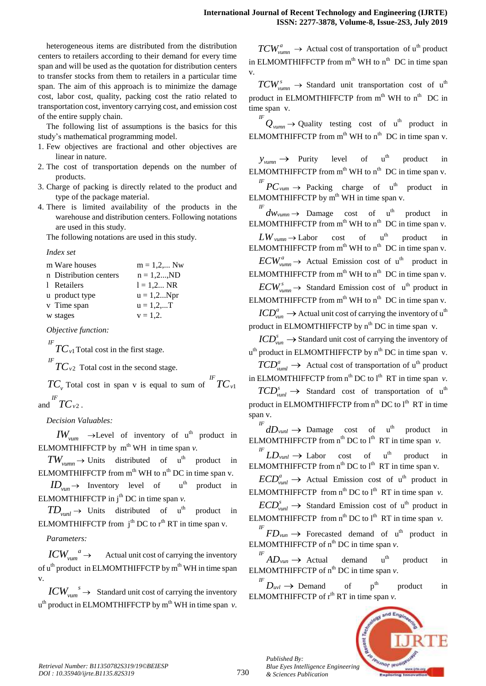heterogeneous items are distributed from the distribution centers to retailers according to their demand for every time span and will be used as the quotation for distribution centers to transfer stocks from them to retailers in a particular time span. The aim of this approach is to minimize the damage cost, labor cost, quality, packing cost the ratio related to transportation cost, inventory carrying cost, and emission cost of the entire supply chain.

The following list of assumptions is the basics for this study's mathematical programming model.

- 1. Few objectives are fractional and other objectives are linear in nature.
- 2. The cost of transportation depends on the number of products.
- 3. Charge of packing is directly related to the product and type of the package material.
- 4. There is limited availability of the products in the warehouse and distribution centers. Following notations are used in this study.

The following notations are used in this study.

*Index set* 

| m Ware houses          | $m = 1, 2, $ Nw  |
|------------------------|------------------|
| n Distribution centers | $n = 1, 2, , ND$ |
| 1 Retailers            | $l = 1, 2$ NR    |
| u product type         | $u = 1, 2Npr$    |
| v Time span            | $u = 1, 2, $     |
| w stages               | $v = 1.2$ .      |

*Objective function:*

1  ${}^{IF}TC$ <sub>*v*1</sub> Total cost in the first stage.

2  ${}^{IF}TC_{v2}$  Total cost in the second stage.

 $TC_v$  Total cost in span v is equal to sum of  $TC_{v1}$ *IF TC<sup>v</sup>* and  $TC_{v2}$  $^{IF}TC_{v2}$  .

*Decision Valuables:* 

 $IW_{vum} \rightarrow$ Level of inventory of u<sup>th</sup> product in ELMOMTHIFFCTP by  $m<sup>th</sup> WH$  in time span  $v$ .

 $TW_{vumm} \rightarrow$  Units distributed of  $u^{th}$  product in ELMOMTHIFFCTP from  $m<sup>th</sup>$  WH to  $n<sup>th</sup>$  DC in time span v.

 $ID_{\text{van}} \rightarrow$  Inventory level of u<sup>th</sup> product in ELMOMTHIFFCTP in  $j<sup>th</sup>$  DC in time span  $\nu$ .

 $TD_{\text{vunl}} \to$  Units distributed of  $u^{\text{th}}$  product in ELMOMTHIFFCTP from  $i^{th}$  DC to  $r^{th}$  RT in time span v.

*Parameters:*

*a*  $ICW_{\text{vum}}^a \rightarrow$  Actual unit cost of carrying the inventory of  $u^{th}$  product in ELMOMTHIFFCTP by  $m^{th}$  WH in time span v.

*s*  $\textit{ICW}_{\textit{vum}}^{s}$   $\rightarrow$  Standard unit cost of carrying the inventory u<sup>th</sup> product in ELMOMTHIFFCTP by m<sup>th</sup> WH in time span *v*.

 $TCW^a_{vumm} \rightarrow$  Actual cost of transportation of u<sup>th</sup> product in ELMOMTHIFFCTP from  $m<sup>th</sup>$  WH to  $n<sup>th</sup>$  DC in time span v.

 $TCW^s_{vumm} \rightarrow$  Standard unit transportation cost of u<sup>th</sup> product in ELMOMTHIFFCTP from  $m<sup>th</sup>$  WH to  $n<sup>th</sup>$  DC in time span v.

 $\int_{\text{Y} \text{U} \text{V} \text{U}}^{I} P(\text{Y} \text{U})$  and  $I$  testing cost of u<sup>th</sup> product in ELMOMTHIFFCTP from  $m<sup>th</sup>$  WH to  $n<sup>th</sup>$  DC in time span v.

 $y_{vumm} \rightarrow$  Purity level of u<sup>th</sup> product in ELMOMTHIFFCTP from  $m<sup>th</sup>$  WH to  $n<sup>th</sup>$  DC in time span v.

 ${}^{IF}PC$ <sub>*vum*</sub>  $\rightarrow$  Packing charge of u<sup>th</sup> product in ELMOMTHIFFCTP by  $m<sup>th</sup> WH$  in time span v.

*IF*  $dw_{vumm} \rightarrow$  Damage cost of u product in ELMOMTHIFFCTP from  $m<sup>th</sup>$  WH to  $n<sup>th</sup>$  DC in time span v.

 $LW$ <sub>*vumn*</sub> $\rightarrow$  Labor  $cost$  of  $u<sup>th</sup>$ product in ELMOMTHIFFCTP from  $m<sup>th</sup>$  WH to  $n<sup>th</sup>$  DC in time span v.  $ECW_{vumm}^a \rightarrow$  Actual Emission cost of u<sup>th</sup> product in

ELMOMTHIFFCTP from  $m<sup>th</sup>$  WH to  $n<sup>th</sup>$  DC in time span v.

 $ECW^s_{vumm} \rightarrow$  Standard Emission cost of u<sup>th</sup> product in ELMOMTHIFFCTP from  $m<sup>th</sup>$  WH to  $n<sup>th</sup>$  DC in time span v.

*a*  $\mathit{ICD}_{\mathit{van}}^a \to$  Actual unit cost of carrying the inventory of  $\mathfrak{u}^{\mathfrak{th}}$ product in ELMOMTHIFFCTP by  $n^{th}$  DC in time span v.

*s*  $\mathit{ICD}_{\textit{van}}^s \to$  Standard unit cost of carrying the inventory of u<sup>th</sup> product in ELMOMTHIFFCTP by n<sup>th</sup> DC in time span v.

 $TCD_{vuml}^a \rightarrow$  Actual cost of transportation of u<sup>th</sup> product in ELMOMTHIFFCTP from  $n^{th}$  DC to  $1^{th}$  RT in time span  $\nu$ .

 $TCD_{vunl}^{s} \rightarrow$  Standard cost of transportation of u<sup>th</sup> product in ELMOMTHIFFCTP from  $n^{th}$  DC to  $l^{th}$  RT in time span v.

 $dD$ <sub>*vunl*</sub>  $\rightarrow$  Damage cost of u<sup>th</sup> product in ELMOMTHIFFCTP from  $n^{th}$  DC to  $1^{th}$  RT in time span  $\nu$ .

 $\int_{L}^{I} L D_{\text{vunl}} \rightarrow$  Labor cost of u<sup>th</sup> product in ELMOMTHIFFCTP from  $n^{th}$  DC to  $l^{th}$  RT in time span v.

 $ECD_{vunl}^a \rightarrow$  Actual Emission cost of u<sup>th</sup> product in ELMOMTHIFFCTP from  $n^{th}$  DC to  $l^{th}$  RT in time span  $v$ .

 $\text{ECD}_{\text{vunl}}^{s} \rightarrow$  Standard Emission cost of u<sup>th</sup> product in ELMOMTHIFFCTP from  $n^{th}$  DC to  $l^{th}$  RT in time span  $v$ .

 $F F D_{\text{vun}} \rightarrow$  Forecasted demand of u<sup>th</sup> product in ELMOMTHIFFCTP of  $n<sup>th</sup>$  DC in time span  $v$ .

*IF*  $AD$ <sub>*vun*</sub>  $\rightarrow$  Actual demand u  $u<sup>th</sup>$  product in ELMOMTHIFFCTP of  $n^{th}$  DC in time span  $\nu$ .

*IF*  $D_{uvl} \rightarrow$  Demand of p  $p<sup>th</sup>$  product in ELMOMTHIFFCTP of  $r<sup>th</sup> RT$  in time span  $v$ .



*Published By:*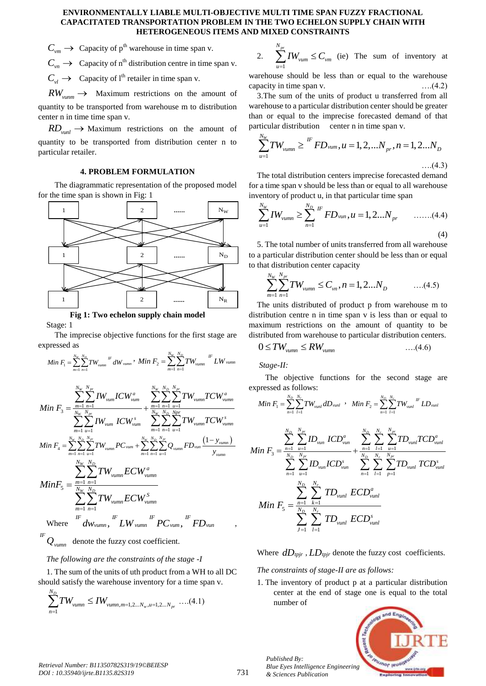$C_{vm}$  
ightarrow Capacity of p<sup>th</sup> warehouse in time span v.

 $C_{v_n} \to$  Capacity of n<sup>th</sup> distribution centre in time span v.

 $C_{vl} \rightarrow$  Capacity of l<sup>th</sup> retailer in time span v.

 $RW_{vumm} \rightarrow$  Maximum restrictions on the amount of quantity to be transported from warehouse m to distribution center n in time time span v.

 $RD$ <sub>*vunl*</sub>  $\rightarrow$  Maximum restrictions on the amount of quantity to be transported from distribution center n to particular retailer.

# **4. PROBLEM FORMULATION**

The diagrammatic representation of the proposed model for the time span is shown in Fig: 1



**Fig 1: Two echelon supply chain model**

Stage: 1

*IF*

The imprecise objective functions for the first stage are expressed as

$$
Min F_{1} = \sum_{m=1}^{N_{w}} \sum_{n=1}^{N_{D}} TW_{vumm}^{F} dW_{vumm}, Min F_{2} = \sum_{m=1}^{N_{w}} \sum_{n=1}^{N_{D}} TW_{vumm}^{F} LW_{vumm}
$$
\n
$$
Min F_{3} = \frac{\sum_{m=1}^{N_{w}} \sum_{n=1}^{N_{P}} TW_{vum}^{F}ICW_{vum}^{a}}{\sum_{m=1}^{N_{W}} \sum_{n=1}^{N_{P}} \sum_{n=1}^{N_{P}} \sum_{u=1}^{N_{P}} TW_{vumm}^{F}ICW_{vumm}^{a}}
$$
\n
$$
Min F_{4} = \sum_{m=1}^{N_{w}} \sum_{n=1}^{N_{D}} \sum_{n=1}^{N_{P}} TW_{vamm}^{F} PC_{vum} + \sum_{m=1}^{N_{w}} \sum_{n=1}^{N_{P}} \sum_{n=1}^{N_{P}} \sum_{u=1}^{N_{P}} TW_{vumm}^{F} CU_{vumm}
$$
\n
$$
Min F_{5} = \frac{\sum_{m=1}^{N_{w}} \sum_{n=1}^{N_{D}} \sum_{n=1}^{N_{D}} TW_{vumm}^{F} ECW_{vumm}^{a}}{\sum_{m=1}^{N_{H}} \sum_{n=1}^{N_{P}} \sum_{n=1}^{N_{P}} TW_{vumm}}
$$
\n
$$
Min F_{5} = \frac{\sum_{m=1}^{N_{w}} \sum_{n=1}^{N_{D}} TW_{vumm}^{F} ECW_{vumm}^{F}}{\sum_{m=1}^{N_{H}} \sum_{n=1}^{N_{P}} TW_{vumm}} = Cov_{vumm}
$$
\n
$$
W
$$
\n
$$
W
$$
\nwhere\n
$$
dW_{vumm}^{F} LW_{vumm}^{F} PC_{vum}^{F} FD_{vum}
$$

*Qvumn* denote the fuzzy cost coefficient.

# *The following are the constraints of the stage -I*

1. The sum of the units of uth product from a WH to all DC should satisfy the warehouse inventory for a time span v.

$$
\sum_{n=1}^{N_D} TW_{vumm} \leq IW_{vumm,m=1,2...N_w,u=1,2...N_{pr}} \dots (4.1)
$$

2. 
$$
\sum_{u=1}^{N_{pr}} I W_{vum} \leq C_{vm}
$$
 (ie) The sum of inventory at

warehouse should be less than or equal to the warehouse capacity in time span v.  $\dots(4.2)$ 

3.The sum of the units of product u transferred from all warehouse to a particular distribution center should be greater than or equal to the imprecise forecasted demand of that

particular distribution center n in time span v.  
\n
$$
\sum_{u=1}^{N_W} TW_{vumm} \geq {}^{IF} FD_{vum}, u = 1, 2, ...N_p, n = 1, 2...N_D
$$
\n...(4.3)

The total distribution centers imprecise forecasted demand for a time span v should be less than or equal to all warehouse

inventory of product u, in that particular time span  
\n
$$
\sum_{u=1}^{N_W} I W_{vumm} \ge \sum_{n=1}^{N_D} {}^F F D_{vum}, u = 1, 2...N_{pr} \qquad ...... (4.4)
$$
\n(4)

5. The total number of units transferred from all warehouse to a particular distribution center should be less than or equal

to that distribution center capacity  
\n
$$
\sum_{m=1}^{N_W} \sum_{n=1}^{N_{pr}} TW_{vumm} \leq C_{vn}, n = 1, 2...N_D
$$
\n....(4.5)

The units distributed of product p from warehouse m to distribution centre n in time span v is less than or equal to maximum restrictions on the amount of quantity to be distributed from warehouse to particular distribution centers.

$$
0 \le TW_{vumm} \le RW_{vumm} \qquad \qquad \dots (4.6)
$$

*Stage-II:* 

The objective functions for the second stage are expressed as follows:

$$
Min F_{1} = \sum_{n=1}^{N_{D}} \sum_{l=1}^{N_{r}} TW_{vunl} dD_{vunl} , Min F_{2} = \sum_{n=1}^{N_{D}} \sum_{l=1}^{N_{r}} TW_{vunl}^{H} LD_{vunl}
$$
\n
$$
Min F_{3} = \frac{\sum_{n=1}^{N_{D}} \sum_{u=1}^{N_{pr}} ID_{vunl} ICD_{vun}^{a}}{\sum_{n=1}^{N_{D}} \sum_{u=1}^{N_{D}} \sum_{u=1}^{N_{p}} \sum_{l=1}^{N_{p}} \sum_{p=1}^{N_{pr}} TD_{vunl} TCD_{vunl}^{a}} + \frac{\sum_{n=1}^{N_{D}} \sum_{l=1}^{N_{r}} \sum_{u=1}^{N_{pr}} TD_{vunl} TCD_{vunl}^{a}}{\sum_{n=1}^{N_{D}} \sum_{l=1}^{N_{r}} \sum_{p=1}^{N_{r}} \sum_{p=1}^{N_{p}} TD_{vunl} TCD_{vunl}^{s}}
$$
\n
$$
Min F_{5} = \sum_{\substack{N_{D} \\ N_{f}} \geq \sum_{l=1}^{N_{r}} \sum_{l=1}^{N_{r}} TD_{vunl} ECD_{vunl}^{s}
$$

Where  $dD_{\text{tpir}}$ ,  $LD_{\text{tpir}}$  denote the fuzzy cost coefficients.

# *The constraints of stage-II are as follows:*

1. The inventory of product p at a particular distribution center at the end of stage one is equal to the total number of



*Published By: Blue Eyes Intelligence Engineering & Sciences Publication*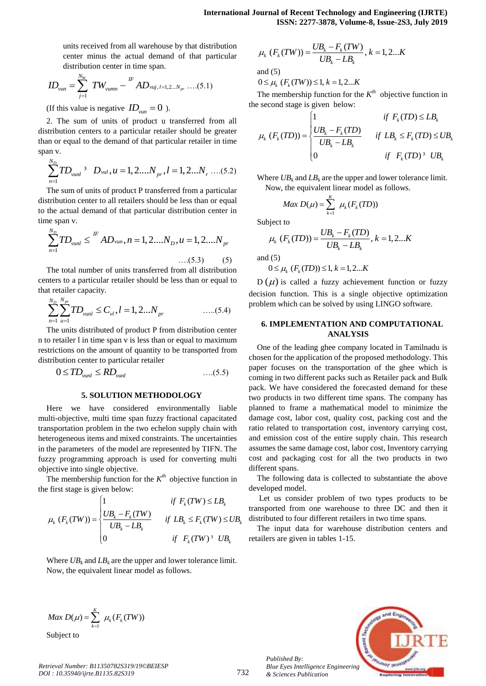units received from all warehouse by that distribution center minus the actual demand of that particular distribution center in time span.

$$
ID_{\text{van}} = \sum_{j=1}^{N_W} TW_{\text{vumm}} - \sum_{i=1}^{I^F} AD_{\text{vuj}, i=1,2\ldots N_{pr}} \ldots (5.1)
$$

(If this value is negative  $ID_{\text{van}} = 0$ ).

2. The sum of units of product u transferred from all distribution centers to a particular retailer should be greater than or equal to the demand of that particular retailer in time span v.

$$
\sum_{n=1}^{N_D} T D_{vunl}^3 \quad D_{vul}, u = 1, 2...N_{pr}, l = 1, 2...N_r \dots (5.2)
$$

The sum of units of product P transferred from a particular distribution center to all retailers should be less than or equal to the actual demand of that particular distribution center in time span v.

ne span v.  
\n
$$
\sum_{n=1}^{N_D} TD_{vunl} \leq {}^{lF} AD_{vun}, n = 1, 2....N_D, u = 1, 2....N_{pr}
$$
\n...(5.3) (5)

The total number of units transferred from all distribution centers to a particular retailer should be less than or equal to that retailer capacity.

$$
\sum_{n=1}^{N_D} \sum_{u=1}^{N_{pr}} TD_{vunl} \le C_{vl}, l = 1, 2...N_{pr}
$$
 ....(5.4)

The units distributed of product P from distribution center n to retailer l in time span v is less than or equal to maximum restrictions on the amount of quantity to be transported from distribution center to particular retailer

$$
0 \leq TD_{\text{vunl}} \leq RD_{\text{vunl}} \qquad \qquad \dots (5.5)
$$

#### **5. SOLUTION METHODOLOGY**

Here we have considered environmentally liable multi-objective, multi time span fuzzy fractional capacitated transportation problem in the two echelon supply chain with heterogeneous items and mixed constraints. The uncertainties in the parameters of the model are represented by TIFN. The fuzzy programming approach is used for converting multi objective into single objective.

The membership function for the  $K^{th}$  objective function in<br>  $\vdots$  first stage is given below:<br>  $\begin{cases} 1 & \text{if } F_k(TW) \leq LB_k \end{cases}$ the first stage is given below:

$$
\mu_k (F_k(TW)) = \begin{cases}\n1 & \text{if } F_k(TW) \le L B_k \\
\frac{UB_k - F_k(TW)}{UB_k - LB_k} & \text{if } LB_k \le F_k(TW) \le UB_k \\
0 & \text{if } F_k(TW)^3 \text{ } UB_k\n\end{cases}
$$

Where  $UB_k$  and  $LB_k$  are the upper and lower tolerance limit. Now, the equivalent linear model as follows.

$$
\mu_k (F_k(TW)) = \frac{UB_k - F_k(TW)}{UB_k - LB_k}, k = 1, 2...K
$$
  
and (5)  

$$
0 \le \mu_k (F_k(TW)) \le 1, k = 1, 2...K
$$

The membership function for the  $K^{th}$  objective function in <br>  $\therefore$  second stage is given below:<br>  $\begin{cases} 1 & \text{if } F_k(TD) \leq LB_k \end{cases}$ the second stage is given below:

$$
\mu_k(F_k(TD)) = \begin{cases}\n1 & \text{if } F_k(TD) \le LB_k \\
\frac{UB_k - F_k(TD)}{UB_k - LB_k} & \text{if } LB_k \le F_k(TD) \le UB_k \\
0 & \text{if } F_k(TD)^3 \text{ } UB_k\n\end{cases}
$$

Where  $UB_k$  and  $LB_k$  are the upper and lower tolerance limit. Now, the equivalent linear model as follows.

$$
Max D(\mu) = \sum_{k=1}^{K} \mu_k(F_k(TD))
$$

Subject to

eject to  
\n
$$
\mu_k (F_k(TD)) = \frac{UB_k - F_k(TD)}{UB_k - LB_k}, k = 1, 2...K
$$

and  $(5)$ 

d (5)  
 
$$
0 \le \mu_k
$$
  $(F_k(TD)) \le 1, k = 1, 2...K$ 

 $D(\mu)$  is called a fuzzy achievement function or fuzzy decision function. This is a single objective optimization problem which can be solved by using LINGO software.

### **6. IMPLEMENTATION AND COMPUTATIONAL ANALYSIS**

units rescined itematic of the particular  $\mu_k(F_0(TW)) = \frac{UB_k - F_1(TW)}{IB_k - LB_k}$ .  $k = 1,2,...$ <br>
content mimi-be such distensity of the particular  $\mu_k(F_0(TW)) \leq \frac{UB_k - F_1(TW)}{IB_k - L(R)}$ .  $k = 1,2...$  distribuite order to fire spin.<br>  $ID_w = \sum_{$ One of the leading ghee company located in Tamilnadu is chosen for the application of the proposed methodology. This paper focuses on the transportation of the ghee which is coming in two different packs such as Retailer pack and Bulk pack. We have considered the forecasted demand for these two products in two different time spans. The company has planned to frame a mathematical model to minimize the damage cost, labor cost, quality cost, packing cost and the ratio related to transportation cost, inventory carrying cost, and emission cost of the entire supply chain. This research assumes the same damage cost, labor cost, Inventory carrying cost and packaging cost for all the two products in two different spans.

The following data is collected to substantiate the above developed model.

Let us consider problem of two types products to be transported from one warehouse to three DC and then it distributed to four different retailers in two time spans.

The input data for warehouse distribution centers and retailers are given in tables 1-15.

$$
Max D(\mu) = \sum_{k=1}^{K} \mu_k(F_k(TW))
$$
  
Subisot to

*Retrieval Number: B11350782S319/19©BEIESP DOI : 10.35940/ijrte.B1135.82S319*

*Published By:*

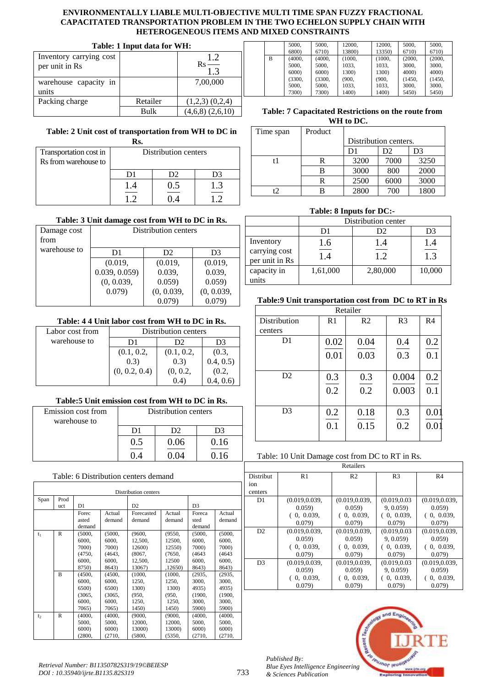| Table: 1 Input data for WH:               |          |                                          |  |  |
|-------------------------------------------|----------|------------------------------------------|--|--|
| Inventory carrying cost<br>per unit in Rs |          | 1.2<br>$\mathbf{R}$ s<br>$\frac{1}{1.3}$ |  |  |
| warehouse capacity in<br>units            |          | 7,00,000                                 |  |  |
| Packing charge                            | Retailer | $(1,2,3)$ $(0,2,4)$                      |  |  |
|                                           | Rulk     | $(4,6,8)$ $(2,6,10)$                     |  |  |

# **Table: 2 Unit cost of transportation from WH to DC in**

| Rs.                    |                      |     |     |  |
|------------------------|----------------------|-----|-----|--|
| Transportation cost in | Distribution centers |     |     |  |
| Rs from warehouse to   |                      |     |     |  |
|                        |                      | D2. | D3  |  |
|                        |                      |     | 1.3 |  |
|                        |                      |     |     |  |

# **Table: 3 Unit damage cost from WH to DC in Rs.**

| Damage cost<br>from | Distribution centers          |            |            |  |  |
|---------------------|-------------------------------|------------|------------|--|--|
| warehouse to        | D <sub>2</sub><br>D1<br>D3    |            |            |  |  |
|                     | (0.019,                       | (0.019,    |            |  |  |
|                     | 0.039, 0.059                  | 0.039,     | 0.039,     |  |  |
|                     | (0, 0.039,<br>0.059)<br>0.059 |            |            |  |  |
|                     | 0.079)                        | (0, 0.039, | (0, 0.039, |  |  |
|                     |                               |            |            |  |  |

# **Table: 4 4 Unit labor cost from WH to DC in Rs.**

|                 | тамм т т ешемме сож нош ты м ре ш юз |            |            |  |
|-----------------|--------------------------------------|------------|------------|--|
| Labor cost from | Distribution centers                 |            |            |  |
| warehouse to    | D3<br>D2.<br>D1                      |            |            |  |
|                 | (0.1, 0.2,                           | (0.1, 0.2, | (0.3,      |  |
|                 | (0.3)                                | (0.3)      | 0.4, 0.5)  |  |
|                 | (0, 0.2, 0.4)                        | (0, 0.2,   | (0.2,      |  |
|                 |                                      | (0.4)      | (0.4, 0.6) |  |

# **Table:5 Unit emission cost from WH to DC in Rs.**

| Emission cost from<br>warehouse to | Distribution centers |      |       |
|------------------------------------|----------------------|------|-------|
|                                    | D1                   | D2   |       |
|                                    | 0.5                  | 0.06 | 0.16  |
|                                    |                      |      | $-16$ |

| Table: 6 Distribution centers demand |                      |        |        |                |         |                |        |  |
|--------------------------------------|----------------------|--------|--------|----------------|---------|----------------|--------|--|
|                                      | Distribution centers |        |        |                |         |                |        |  |
| Span                                 | Prod                 |        |        |                |         |                |        |  |
|                                      | uct                  | D1     |        | D <sub>2</sub> |         | D <sub>3</sub> |        |  |
|                                      |                      | Forec  | Actual | Forecasted     | Actual  | Foreca         | Actual |  |
|                                      |                      | asted  | demand | demand         | demand  | sted           | demand |  |
|                                      |                      | demand |        |                |         | demand         |        |  |
| $t_1$                                | $\mathbb{R}$         | (5000, | (5000, | (9600,         | (9550,  | (5000,         | (5000, |  |
|                                      |                      | 6000,  | 6000,  | 12,500,        | 12500,  | 6000,          | 6000.  |  |
|                                      |                      | 7000)  | 7000)  | 12600)         | 12550)  | 7000)          | 7000)  |  |
|                                      |                      | (4750, | (4643, | (8067,         | (7650,  | (4643)         | (4643) |  |
|                                      |                      | 6000.  | 6000,  | 12,500,        | 12500   | 6000,          | 6000,  |  |
|                                      |                      | 8750)  | 8643)  | 13067)         | ,12650) | 8643)          | 8643)  |  |
|                                      | $\overline{B}$       | (4500, | (4500, | (1000,         | (1000,  | (2935,         | (2935, |  |
|                                      |                      | 6000,  | 6000,  | 1250,          | 1250,   | 3000,          | 3000.  |  |
|                                      |                      | 6500)  | 6500)  | 1300)          | 1300)   | 4935)          | 4935)  |  |
|                                      |                      | (3065, | (3065, | (950,          | (950,   | (1900,         | (1900, |  |
|                                      |                      | 6000,  | 6000,  | 1250,          | 1250,   | 3000,          | 3000,  |  |
|                                      |                      | 7065)  | 7065)  | 1450)          | 1450)   | 5900)          | 5900)  |  |
| t <sub>2</sub>                       | $\mathsf{R}$         | (4000, | (4000, | (9000,         | (9000,  | (4000,         | (4000, |  |
|                                      |                      | 5000,  | 5000,  | 12000,         | 12000,  | 5000,          | 5000,  |  |
|                                      |                      | 6000)  | 6000)  | 13000)         | 13000)  | 6000           | 6000)  |  |
|                                      |                      | (2800, | (2710, | (5800,         | (5350,  | (2710,         | (2710, |  |

|   | 5000.  | 5000.  | 12000.     | 12000.     | 5000.             | 5000.             |
|---|--------|--------|------------|------------|-------------------|-------------------|
|   | 6800)  | 6710)  | 13800)     | 13350)     | 6710)             | 6710)             |
| B | (4000. | (4000. | (1000.     | (1000.     | (2000.            | (2000,            |
|   | 5000,  | 5000,  | 1033,      | 1033,      | 3000.             | 3000.             |
|   | 6000   | 6000   | 1300)      | 1300)      | 4000 <sup>o</sup> | 4000 <sup>o</sup> |
|   | (3300, | (3300, | (900, 900) | (900, 900) | (1450,            | (1450,            |
|   | 5000,  | 5000,  | 1033,      | 1033,      | 3000,             | 3000,             |
|   | 7300)  | 7300)  | 1400)      | 1400)      | 5450)             | 5450)             |

# **Table: 7 Capacitated Restrictions on the route from WH to DC.**

| Time span | Product |                       |      |      |  |
|-----------|---------|-----------------------|------|------|--|
|           |         | Distribution centers. |      |      |  |
|           |         | D1                    | D2   | D3   |  |
| t1        | R       | 3200                  | 7000 | 3250 |  |
|           | в       | 3000                  | 800  | 2000 |  |
|           | R       | 2500                  | 6000 | 3000 |  |
| ۲J        |         | 2800                  | 700  | 1800 |  |

# **Table: 8 Inputs for DC:-**

|                                 | Distribution center |          |                  |  |  |
|---------------------------------|---------------------|----------|------------------|--|--|
|                                 | D1<br>D2<br>D3      |          |                  |  |  |
| Inventory                       | 1.6                 | 1.4      | 1.4              |  |  |
| carrying cost<br>per unit in Rs | 1.4                 | 1.2      | $\overline{1.3}$ |  |  |
| capacity in                     | 1,61,000            | 2,80,000 | 10,000           |  |  |
| units                           |                     |          |                  |  |  |

# **Table:9 Unit transportation cost from DC to RT in Rs**

|                | Retailer       |                |                |                |  |
|----------------|----------------|----------------|----------------|----------------|--|
| Distribution   | R <sub>1</sub> | R <sub>2</sub> | R <sub>3</sub> | R <sub>4</sub> |  |
| centers        |                |                |                |                |  |
| D1             | 0.02           | 0.04           | 0.4            | 0.2            |  |
|                | 0.01           | 0.03           | 0.3            | 0.1            |  |
| D2             | 0.3<br>0.2     | 0.3<br>0.2     | 0.004<br>0.003 | 0.2<br>0.1     |  |
| D <sub>3</sub> | 0.2<br>0.1     | 0.18<br>0.15   | 0.3<br>0.2     | 0.01<br>0.01   |  |

# Table: 10 Unit Damage cost from DC to RT in Rs.

|                  | Retailers      |                |                |                |  |  |  |
|------------------|----------------|----------------|----------------|----------------|--|--|--|
| <b>Distribut</b> | R1             | R <sub>2</sub> | R <sub>3</sub> | R <sub>4</sub> |  |  |  |
| ion              |                |                |                |                |  |  |  |
| centers          |                |                |                |                |  |  |  |
| D1               | (0.019, 0.039, | (0.019, 0.039, | (0.019, 0.03)  | (0.019, 0.039, |  |  |  |
|                  | 0.059          | 0.059          | 9, 0.059       | 0.059          |  |  |  |
|                  | (0, 0.039,     | (0, 0.039,     | 0, 0.039,      | (0, 0.039,     |  |  |  |
|                  | 0.079          | 0.079          | 0.079          | 0.079          |  |  |  |
| D2               | (0.019, 0.039, | (0.019, 0.039, | (0.019, 0.03)  | (0.019, 0.039, |  |  |  |
|                  | 0.059          | 0.059          | 9, 0.059       | 0.059          |  |  |  |
|                  | (0, 0.039,     | (0, 0.039,     | 0, 0.039,      | (0, 0.039,     |  |  |  |
|                  | 0.079          | 0.079          | 0.079          | 0.079          |  |  |  |
| D <sub>3</sub>   | (0.019, 0.039, | (0.019, 0.039, | (0.019, 0.03)  | (0.019, 0.039, |  |  |  |
|                  | 0.059          | 0.059          | 9, 0.059       | 0.059          |  |  |  |
|                  | (0, 0.039,     | (0, 0.039,     | 0, 0.039,      | 0, 0.039,      |  |  |  |
|                  | 0.079          | 0.079          | 0.079          | 0.079          |  |  |  |



*Published By:*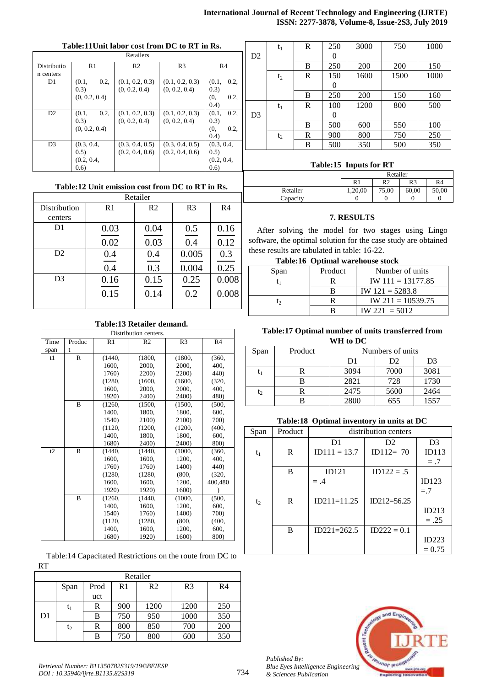# **International Journal of Recent Technology and Engineering (IJRTE) ISSN: 2277-3878, Volume-8, Issue-2S3, July 2019**

## **Table:11Unit labor cost from DC to RT in Rs.**

| Retailers      |                |                 |                 |                |  |  |
|----------------|----------------|-----------------|-----------------|----------------|--|--|
| Distributio    | R <sub>1</sub> | R <sub>2</sub>  | R <sub>3</sub>  | R <sub>4</sub> |  |  |
| n centers      |                |                 |                 |                |  |  |
| D <sub>1</sub> | 0.2,<br>(0.1,  | (0.1, 0.2, 0.3) | (0.1, 0.2, 0.3) | 0.2,<br>(0.1,  |  |  |
|                | (0.3)          | (0, 0.2, 0.4)   | (0, 0.2, 0.4)   | (0.3)          |  |  |
|                | (0, 0.2, 0.4)  |                 |                 | (0,<br>0.2,    |  |  |
|                |                |                 |                 | (0.4)          |  |  |
| D2             | 0.2,<br>(0.1,  | (0.1, 0.2, 0.3) | (0.1, 0.2, 0.3) | (0.1,<br>0.2,  |  |  |
|                | (0.3)          | (0, 0.2, 0.4)   | (0, 0.2, 0.4)   | (0.3)          |  |  |
|                | (0, 0.2, 0.4)  |                 |                 | (0,<br>0.2,    |  |  |
|                |                |                 |                 | (0.4)          |  |  |
| D <sub>3</sub> | (0.3, 0.4,     | (0.3, 0.4, 0.5) | (0.3, 0.4, 0.5) | (0.3, 0.4,     |  |  |
|                | (0.5)          | (0.2, 0.4, 0.6) | (0.2, 0.4, 0.6) | (0.5)          |  |  |
|                | (0.2, 0.4,     |                 |                 | (0.2, 0.4,     |  |  |
|                | (0.6)          |                 |                 | (0.6)          |  |  |

|                | $t_1$ | R | 250      | 3000       | 750        | 1000 |
|----------------|-------|---|----------|------------|------------|------|
| D2             |       |   | $\theta$ |            |            |      |
|                |       | B | 250      | <b>200</b> | <b>200</b> | 150  |
|                | $t_2$ | R | 150      | 1600       | 1500       | 1000 |
|                |       |   | 0        |            |            |      |
|                |       | B | 250      | 200        | 150        | 160  |
|                | $t_1$ | R | 100      | 1200       | 800        | 500  |
| D <sub>3</sub> |       |   | $\theta$ |            |            |      |
|                |       | B | 500      | 600        | 550        | 100  |
|                | $t_2$ | R | 900      | 800        | 750        | 250  |
|                |       | B | 500      | 350        | 500        | 350  |
|                |       |   |          |            |            |      |

# **Table:15 Inputs for RT**

Retailer R1 R2 R3 R4

> 60,00 0

50,00  $\boldsymbol{0}$ 

75,00  $\boldsymbol{0}$ 

#### **Table:12 Unit emission cost from DC to RT in Rs.**  $D_{\text{stat}}(1_{\text{stat}})$

|                |      | Retallei       |                |                |
|----------------|------|----------------|----------------|----------------|
| Distribution   | R1   | R <sub>2</sub> | R <sub>3</sub> | R <sub>4</sub> |
| centers        |      |                |                |                |
| D <sub>1</sub> | 0.03 | 0.04           | 0.5            | 0.16           |
|                | 0.02 | 0.03           | 0.4            | 0.12           |
| D <sub>2</sub> | 0.4  | 0.4            | 0.005          | 0.3            |
|                | 0.4  | 0.3            | 0.004          | 0.25           |
| D <sub>3</sub> | 0.16 | 0.15           | 0.25           | 0.008          |
|                | 0.15 | 0.14           | 0.2            | 0.008          |
|                |      |                |                |                |

## **7. RESULTS**

1,20,00  $\boldsymbol{0}$ 

After solving the model for two stages using Lingo software, the optimal solution for the case study are obtained these results are tabulated in table: 16-22.

**Table:16 Optimal warehouse stock**

Retailer Capacity

| Span | Product | Number of units     |
|------|---------|---------------------|
|      |         | $IW 111 = 13177.85$ |
|      |         | $IW 121 = 5283.8$   |
| ŀ٦   |         | $IW 211 = 10539.75$ |
|      |         | $IW 221 = 5012$     |

## **Table:13 Retailer demand.**

|      | Distribution centers. |                |                |                |                |  |  |
|------|-----------------------|----------------|----------------|----------------|----------------|--|--|
| Time | Produc                | R <sub>1</sub> | R <sub>2</sub> | R <sub>3</sub> | R <sub>4</sub> |  |  |
| span | t                     |                |                |                |                |  |  |
| t1   | R                     | (1440,         | (1800,         | (1800,         | (360,          |  |  |
|      |                       | 1600,          | 2000,          | 2000.          | 400,           |  |  |
|      |                       | 1760)          | 2200)          | 2200)          | 440)           |  |  |
|      |                       | (1280,         | (1600,         | (1600,         | (320,          |  |  |
|      |                       | 1600,          | 2000.          | 2000.          | 400.           |  |  |
|      |                       | 1920)          | 2400)          | 2400)          | 480)           |  |  |
|      | B                     | (1260,         | (1500,         | (1500,         | (500, 500)     |  |  |
|      |                       | 1400,          | 1800,          | 1800,          | 600,           |  |  |
|      |                       | 1540)          | 2100)          | 2100)          | 700)           |  |  |
|      |                       | (1120,         | (1200,         | (1200,         | (400,          |  |  |
|      |                       | 1400,          | 1800,          | 1800.          | 600,           |  |  |
|      |                       | 1680)          | 2400)          | 2400)          | 800)           |  |  |
| t2   | $\mathbb{R}$          | (1440,         | (1440,         | (1000,         | (360,          |  |  |
|      |                       | 1600,          | 1600,          | 1200.          | 400,           |  |  |
|      |                       | 1760)          | 1760)          | 1400)          | 440)           |  |  |
|      |                       | (1280,         | (1280,         | (800,          | (320,          |  |  |
|      |                       | 1600,          | 1600,          | 1200.          | 400,480        |  |  |
|      |                       | 1920)          | 1920)          | 1600)          |                |  |  |
|      | $\mathbf{B}$          | (1260,         | (1440,         | (1000,         | (500,          |  |  |
|      |                       | 1400.          | 1600,          | 1200,          | 600,           |  |  |
|      |                       | 1540)          | 1760)          | 1400)          | 700)           |  |  |
|      |                       | (1120,         | (1280,         | (800,          | (400,          |  |  |
|      |                       | 1400,          | 1600,          | 1200,          | 600,           |  |  |
|      |                       | 1680)          | 1920)          | 1600)          | 800)           |  |  |

Table:14 Capacitated Restrictions on the route from DC to RT

| Retailer |       |      |     |                |                |                |
|----------|-------|------|-----|----------------|----------------|----------------|
|          | Span  | Prod | R1  | R <sub>2</sub> | R <sub>3</sub> | R <sub>4</sub> |
|          |       | uct  |     |                |                |                |
|          | $t_1$ | R    | 900 | 1200           | 1200           | 250            |
| D1       |       | B    | 750 | 950            | 1000           | 350            |
|          | $t_2$ | R    | 800 | 850            | 700            | 200            |
|          |       | B    | 750 | 800            | 600            | 350            |

# **Table:17 Optimal number of units transferred from WH to DC**

| Span           | Product | Numbers of units |      |      |  |  |
|----------------|---------|------------------|------|------|--|--|
|                |         | D1               | D2   | D3   |  |  |
| t,             |         | 3094             | 7000 | 3081 |  |  |
|                |         | 2821             | 728  | 1730 |  |  |
| $\mathsf{t}_2$ |         | 2475             | 5600 | 2464 |  |  |
|                |         | 2800             | 655  | 1557 |  |  |

# **Table:18 Optimal inventory in units at DC**

| Span  | Product | distribution centers |                 |                |  |  |
|-------|---------|----------------------|-----------------|----------------|--|--|
|       |         | D <sub>1</sub>       | D <sub>2</sub>  | D <sub>3</sub> |  |  |
| $t_1$ | R       | $ID111 = 13.7$       | $ID112 = 70$    | ID113          |  |  |
|       |         |                      |                 | $= .7$         |  |  |
|       | B       | ID121                | $ID122 = .5$    |                |  |  |
|       |         | $= .4$               |                 | ID123          |  |  |
|       |         |                      |                 | $= 7$          |  |  |
| $t_2$ | R       | $ID211=11.25$        | $ID212 = 56.25$ |                |  |  |
|       |         |                      |                 | ID213          |  |  |
|       |         |                      |                 | $=.25$         |  |  |
|       | B       | $ID221 = 262.5$      | $ID222 = 0.1$   |                |  |  |
|       |         |                      |                 | ID223          |  |  |
|       |         |                      |                 | $= 0.75$       |  |  |



*Published By: Blue Eyes Intelligence Engineering & Sciences Publication*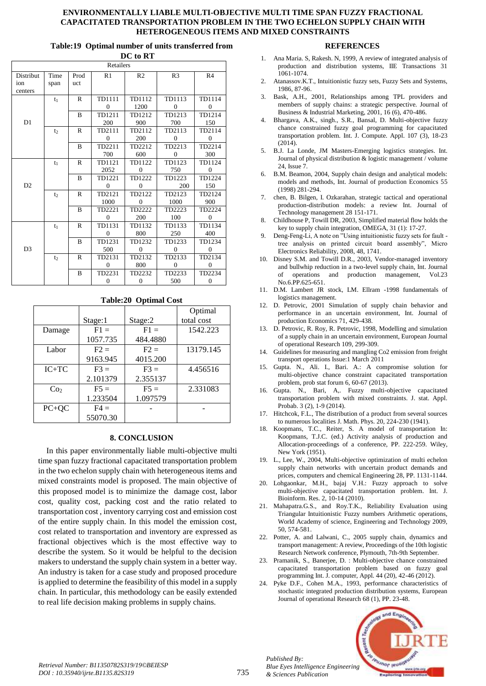#### **Table:19 Optimal number of units transferred from**

| DC to RT                    |                |              |                        |                        |                          |                        |
|-----------------------------|----------------|--------------|------------------------|------------------------|--------------------------|------------------------|
|                             |                |              | Retailers              |                        |                          |                        |
| Distribut<br>ion<br>centers | Time<br>span   | Prod<br>uct  | R1                     | R <sub>2</sub>         | R <sub>3</sub>           | R4                     |
|                             | $t_1$          | $\mathbb{R}$ | TD1111<br>$\Omega$     | TD1112<br>1200         | TD1113<br>$\overline{0}$ | TD1114<br>$\Omega$     |
| D1                          |                | B            | TD1211<br>200          | TD1212<br>900          | TD1213<br>700            | TD1214<br>150          |
|                             | t <sub>2</sub> | $\mathbb{R}$ | TD2111<br>$\Omega$     | TD2112<br>200          | TD2113<br>$\Omega$       | TD2114<br>$\Omega$     |
|                             |                | B            | TD2211<br>700          | TD2212<br>600          | TD2213<br>$\Omega$       | TD2214<br>300          |
|                             | $t_1$          | R            | TD1121<br>2052         | TD1122<br>$\mathbf{0}$ | TD1123<br>750            | TD1124<br>$\mathbf{0}$ |
| D <sub>2</sub>              |                | B            | TD1221<br>$\Omega$     | TD1222<br>$\Omega$     | TD1223<br>200            | TD1224<br>150          |
|                             | t <sub>2</sub> | R            | TD2121<br>1000         | TD2122<br>$\Omega$     | TD2123<br>1000           | TD2124<br>900          |
|                             |                | B            | TD2221<br>$\Omega$     | TD2222<br>200          | TD2223<br>100            | TD2224<br>$\mathbf{0}$ |
|                             | $t_1$          | R            | TD1131<br>$\Omega$     | TD1132<br>800          | TD1133<br>250            | TD1134<br>400          |
| D <sub>3</sub>              |                | B            | TD1231<br>500          | TD1232<br>$\Omega$     | TD1233<br>$\Omega$       | TD1234<br>$\Omega$     |
|                             | t <sub>2</sub> | $\mathsf{R}$ | TD2131<br>$\mathbf{0}$ | TD2132<br>800          | TD2133<br>$\overline{0}$ | TD2134<br>$\mathbf{0}$ |
|                             |                | B            | TD2231<br>$\mathbf{0}$ | TD2232<br>$\mathbf{0}$ | TD2233<br>500            | TD2234<br>$\mathbf{0}$ |

#### **Table:20 Optimal Cost**

|                 |          |          | Optimal    |
|-----------------|----------|----------|------------|
|                 | Stage:1  | Stage:2  | total cost |
| Damage          | $F1 =$   | $F1 =$   | 1542.223   |
|                 | 1057.735 | 484.4880 |            |
| Labor           | $F2 =$   | $F2 =$   | 13179.145  |
|                 | 9163.945 | 4015.200 |            |
| $IC+TC$         | $F3 =$   | $F3 =$   | 4.456516   |
|                 | 2.101379 | 2.355137 |            |
| Co <sub>2</sub> | $F5 =$   | $F5 =$   | 2.331083   |
|                 | 1.233504 | 1.097579 |            |
| $PC+QC$         | $F4 =$   |          |            |
|                 | 55070.30 |          |            |

#### **8. CONCLUSION**

In this paper environmentally liable multi-objective multi time span fuzzy fractional capacitated transportation problem in the two echelon supply chain with heterogeneous items and mixed constraints model is proposed. The main objective of this proposed model is to minimize the damage cost, labor cost, quality cost, packing cost and the ratio related to transportation cost , inventory carrying cost and emission cost of the entire supply chain. In this model the emission cost, cost related to transportation and inventory are expressed as fractional objectives which is the most effective way to describe the system. So it would be helpful to the decision makers to understand the supply chain system in a better way. An industry is taken for a case study and proposed procedure is applied to determine the feasibility of this model in a supply chain. In particular, this methodology can be easily extended to real life decision making problems in supply chains.

#### **REFERENCES**

- 1. Ana Maria. S, Rakesh. N, 1999, A review of integrated analysis of production and distribution systems, IIE Transactions 31 1061-1074.
- 2. Atanassov.K.T., Intuitionistic fuzzy sets, Fuzzy Sets and Systems, 1986, 87-96.
- 3. Bask, A.H., 2001, Relationships among TPL providers and members of supply chains: a strategic perspective. Journal of Business & Industrial Marketing, 2001, 16 (6), 470-486.
- 4. Bhargava, A.K., singh., S.R., Bansal, D. Multi-objective fuzzy chance constrained fuzzy goal programming for capacitated transportation problem. Int. J. Compute. Appl. 107 (3), 18-23 (2014).
- 5. B.J. La Londe, JM Masters-Emerging logistics strategies. Int. Journal of physical distribution & logistic management / volume 24, Issue 7.
- 6. B.M. Beamon, 2004, Supply chain design and analytical models: models and methods, Int. Journal of production Economics 55 (1998) 281-294.
- 7. chen, B. Bilgen, I. Ozkarahan, strategic tactical and operational production-distribution models: a review Int. Journal of Technology management 28 151-171.
- 8. Childhouse P, Towill DR, 2003, Simplified material flow holds the key to supply chain integration, OMEGA, 31 (1): 17-27.
- 9. Deng-Feng-Li, A note on "Using intuitionistic fuzzy sets for fault tree analysis on printed circuit board assembly", Micro Electronics Reliability, 2008, 48, 1741.
- 10. Disney S.M. and Towill D.R., 2003, Vendor-managed inventory and bullwhip reduction in a two-level supply chain, Int. Journal of operations and production management, Vol.23 No.6.PP.625-651.
- 11. D.M. Lambert JR stock, LM. Ellram -1998 fundamentals of logistics management.
- 12. D. Petrovic, 2001 Simulation of supply chain behavior and performance in an uncertain environment, Int. Journal of production Economics 71, 429-438.
- 13. D. Petrovic, R. Roy, R. Petrovic, 1998, Modelling and simulation of a supply chain in an uncertain environment, European Journal of operational Research 109, 299-309.
- 14. Guidelines for measuring and mangling Co2 emission from freight transport operations Issue:1 March 2011
- 15. Gupta. N., Ali. I., Bari. A.: A compromise solution for multi-objective chance constraint capacitated transportation problem, prob stat forum 6, 60-67 (2013).
- 16. Gupta. N., Bari, A,. Fuzzy multi-objective capacitated transportation problem with mixed constraints. J. stat. Appl. Probab. 3 (2), 1-9 (2014).
- 17. Hitchcok, F.L., The distribution of a product from several sources to numerous localities J. Math. Phys. 20, 224-230 (1941).
- 18. Koopmans, T.C., Reiter, S. A model of transportation In: Koopmans, T.J.C. (ed.) Activity analysis of production and Allocation-proceedings of a conference, PP. 222-259. Wiley, New York (1951).
- 19. L., Lee, W., 2004, Multi-objective optimization of multi echelon supply chain networks with uncertain product demands and prices, computers and chemical Engineering 28, PP. 1131-1144.
- 20. Lohgaonkar, M.H., bajaj V.H.: Fuzzy approach to solve multi-objective capacitated transportation problem. Int. J. Bioinform. Res. 2, 10-14 (2010).
- 21. Mahapatra.G.S., and Roy.T.K., Reliability Evaluation using Triangular Intuitionistic Fuzzy numbers Arithmetic operations, World Academy of science, Engineering and Technology 2009, 50, 574-581.
- 22. Potter, A. and Lalwani, C., 2005 supply chain, dynamics and transport management: A review, Proceedings of the 10th logistic Research Network conference, Plymouth, 7th-9th September.
- 23. Pramanik, S., Banerjee, D. : Multi-objective chance constrained capacitated transportation problem based on fuzzy goal programming Int. J. computer, Appl. 44 (20), 42-46 (2012).
- 24. Pyke D.F., Cohen M.A., 1993, performance characteristics of stochastic integrated production distribution systems, European Journal of operational Research 68 (1), PP. 23-48.



*Retrieval Number: B11350782S319/19©BEIESP DOI : 10.35940/ijrte.B1135.82S319*

*Published By:*